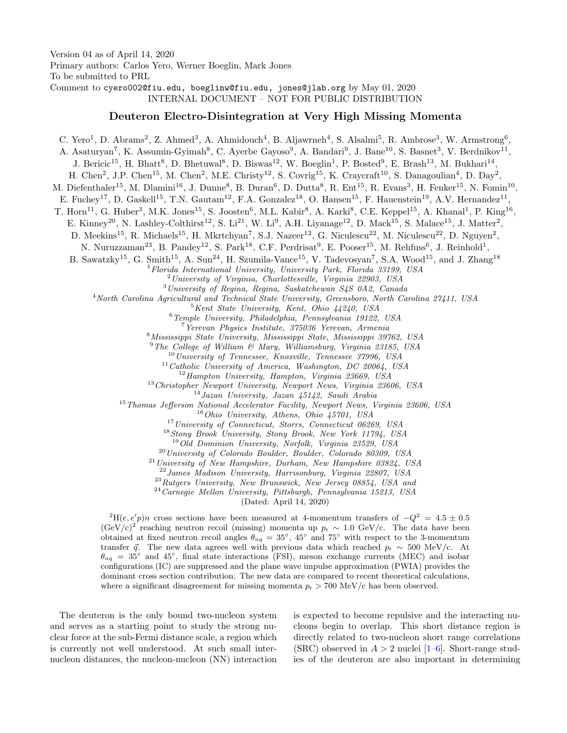Version 04 as of April 14, 2020 Primary authors: Carlos Yero, Werner Boeglin, Mark Jones To be submitted to PRL Comment to cyero002@fiu.edu, boeglinw@fiu.edu, jones@jlab.org by May 01, 2020 INTERNAL DOCUMENT – NOT FOR PUBLIC DISTRIBUTION

## Deuteron Electro-Disintegration at Very High Missing Momenta

C. Yero<sup>1</sup>, D. Abrams<sup>2</sup>, Z. Ahmed<sup>3</sup>, A. Ahmidouch<sup>4</sup>, B. Aljawrneh<sup>4</sup>, S. Alsalmi<sup>5</sup>, R. Ambrose<sup>3</sup>, W. Armstrong<sup>6</sup>, A. Asaturyan<sup>7</sup>, K. Assumin-Gyimah<sup>8</sup>, C. Ayerbe Gayoso<sup>9</sup>, A. Bandari<sup>9</sup>, J. Bane<sup>10</sup>, S. Basnet<sup>3</sup>, V. Berdnikov<sup>11</sup>, J. Bericic<sup>15</sup>, H. Bhatt<sup>8</sup>, D. Bhetuwal<sup>8</sup>, D. Biswas<sup>12</sup>, W. Boeglin<sup>1</sup>, P. Bosted<sup>9</sup>, E. Brash<sup>13</sup>, M. Bukhari<sup>14</sup>, H. Chen<sup>2</sup>, J.P. Chen<sup>15</sup>, M. Chen<sup>2</sup>, M.E. Christy<sup>12</sup>, S. Covrig<sup>15</sup>, K. Craycraft<sup>10</sup>, S. Danagoulian<sup>4</sup>, D. Day<sup>2</sup>, M. Diefenthaler<sup>15</sup>, M. Dlamini<sup>16</sup>, J. Dunne<sup>8</sup>, B. Duran<sup>6</sup>, D. Dutta<sup>8</sup>, R. Ent<sup>15</sup>, R. Evans<sup>3</sup>, H. Fenker<sup>15</sup>, N. Fomin<sup>10</sup>, E. Fuchey<sup>17</sup>, D. Gaskell<sup>15</sup>, T.N. Gautam<sup>12</sup>, F.A. Gonzalez<sup>18</sup>, O. Hansen<sup>15</sup>, F. Hauenstein<sup>19</sup>, A.V. Hernandez<sup>11</sup> , T. Horn<sup>11</sup>, G. Huber<sup>3</sup>, M.K. Jones<sup>15</sup>, S. Joosten<sup>6</sup>, M.L. Kabir<sup>8</sup>, A. Karki<sup>8</sup>, C.E. Keppel<sup>15</sup>, A. Khanal<sup>1</sup>, P. King<sup>16</sup>, E. Kinney<sup>20</sup>, N. Lashley-Colthirst<sup>12</sup>, S. Li<sup>21</sup>, W. Li<sup>9</sup>, A.H. Liyanage<sup>12</sup>, D. Mack<sup>15</sup>, S. Malace<sup>15</sup>, J. Matter<sup>2</sup>, D. Meekins<sup>15</sup>, R. Michaels<sup>15</sup>, H. Mkrtchyan<sup>7</sup>, S.J. Nazeer<sup>12</sup>, G. Niculescu<sup>22</sup>, M. Niculescu<sup>22</sup>, D. Nguyen<sup>2</sup>, N. Nuruzzaman<sup>23</sup>, B. Pandey<sup>12</sup>, S. Park<sup>18</sup>, C.F. Perdrisat<sup>9</sup>, E. Pooser<sup>15</sup>, M. Rehfuss<sup>6</sup>, J. Reinhold<sup>1</sup>, B. Sawatzky<sup>15</sup>, G. Smith<sup>15</sup>, A. Sun<sup>24</sup>, H. Szumila-Vance<sup>15</sup>, V. Tadevosyan<sup>7</sup>, S.A. Wood<sup>15</sup>, and J. Zhang<sup>18</sup>  $1$ Florida International University, University Park, Florida 33199, USA  $^{2}$ University of Virginia, Charlottesville, Virginia 22903, USA <sup>3</sup>University of Regina, Regina, Saskatchewan S4S 0A2, Canada <sup>4</sup>North Carolina Agricultural and Technical State University, Greensboro, North Carolina 27411, USA  $5$ Kent State University, Kent, Ohio  $44240$ , USA <sup>6</sup>Temple University, Philadelphia, Pennsylvania 19122, USA <sup>7</sup>Yerevan Physics Institute, 375036 Yerevan, Armenia <sup>8</sup>Mississippi State University, Mississippi State, Mississippi 39762, USA  $^{9}$ The College of William & Mary, Williamsburg, Virginia 23185, USA  $10$  University of Tennessee, Knoxville, Tennessee 37996, USA  $11$ Catholic University of America, Washington, DC 20064, USA  $12$ Hampton University, Hampton, Virginia 23669, USA <sup>13</sup> Christopher Newport University, Newport News, Virginia 23606, USA <sup>14</sup>Jazan University, Jazan 45142, Saudi Arabia <sup>15</sup> Thomas Jefferson National Accelerator Facility, Newport News, Virginia 23606, USA  $16$  Ohio University, Athens, Ohio 45701, USA <sup>17</sup>University of Connecticut, Storrs, Connecticut 06269, USA <sup>18</sup>Stony Brook University, Stony Brook, New York 11794, USA <sup>19</sup>Old Dominion University, Norfolk, Virginia 23529, USA <sup>20</sup>University of Colorado Boulder, Boulder, Colorado 80309, USA  $^{21}$ University of New Hampshire, Durham, New Hampshire 03824, USA <sup>22</sup>James Madison University, Harrisonburg, Virginia 22807, USA <sup>23</sup>Rutgers University, New Brunswick, New Jersey 08854, USA and <sup>24</sup>Carnegie Mellon University, Pittsburgh, Pennsylvania 15213, USA (Dated: April 14, 2020)  $^{2}H(e, e'p)n$  cross sections have been measured at 4-momentum transfers of  $-Q^{2} = 4.5 \pm 0.5$  $(\text{GeV}/c)^2$  reaching neutron recoil (missing) momenta up  $p_r \sim 1.0 \text{ GeV}/c$ . The data have been obtained at fixed neutron recoil angles  $\theta_{nq} = 35^{\circ}$ , 45<sup>°</sup> and 75<sup>°</sup> with respect to the 3-momentum

transfer  $\vec{q}$ . The new data agrees well with previous data which reached  $p_r \sim 500$  MeV/c. At  $\theta_{nq} = 35^{\circ}$  and 45<sup>°</sup>, final state interactions (FSI), meson exchange currents (MEC) and isobar configurations (IC) are suppressed and the plane wave impulse approximation (PWIA) provides the dominant cross section contribution. The new data are compared to recent theoretical calculations, where a significant disagreement for missing momenta  $p_r > 700$  MeV/c has been observed.

The deuteron is the only bound two-nucleon system and serves as a starting point to study the strong nuclear force at the sub-Fermi distance scale, a region which is currently not well understood. At such small internucleon distances, the nucleon-nucleon (NN) interaction is expected to become repulsive and the interacting nucleons begin to overlap. This short distance region is directly related to two-nucleon short range correlations (SRC) observed in  $A > 2$  nuclei [\[1–](#page-4-0)[6\]](#page-5-0). Short-range studies of the deuteron are also important in determining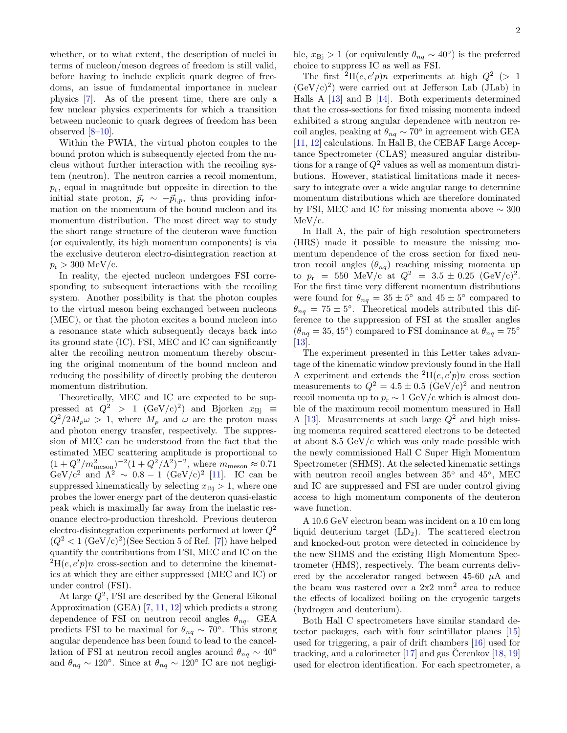whether, or to what extent, the description of nuclei in terms of nucleon/meson degrees of freedom is still valid, before having to include explicit quark degree of freedoms, an issue of fundamental importance in nuclear physics [\[7\]](#page-5-1). As of the present time, there are only a few nuclear physics experiments for which a transition between nucleonic to quark degrees of freedom has been observed [\[8–](#page-5-2)[10\]](#page-5-3).

Within the PWIA, the virtual photon couples to the bound proton which is subsequently ejected from the nucleus without further interaction with the recoiling system (neutron). The neutron carries a recoil momentum,  $p_r$ , equal in magnitude but opposite in direction to the initial state proton,  $\vec{p}_{r} \sim -\vec{p}_{i,p}$ , thus providing information on the momentum of the bound nucleon and its momentum distribution. The most direct way to study the short range structure of the deuteron wave function (or equivalently, its high momentum components) is via the exclusive deuteron electro-disintegration reaction at  $p_{\rm r} > 300 \,\, \text{MeV/c}.$ 

In reality, the ejected nucleon undergoes FSI corresponding to subsequent interactions with the recoiling system. Another possibility is that the photon couples to the virtual meson being exchanged between nucleons (MEC), or that the photon excites a bound nucleon into a resonance state which subsequently decays back into its ground state (IC). FSI, MEC and IC can significantly alter the recoiling neutron momentum thereby obscuring the original momentum of the bound nucleon and reducing the possibility of directly probing the deuteron momentum distribution.

Theoretically, MEC and IC are expected to be suppressed at  $Q^2 > 1$  (GeV/c)<sup>2</sup>) and Bjorken  $x_{\text{Bj}} \equiv$  $Q^2/2M_p\omega > 1$ , where  $M_p$  and  $\omega$  are the proton mass and photon energy transfer, respectively. The suppression of MEC can be understood from the fact that the estimated MEC scattering amplitude is proportional to  $(1+Q^2/m_{\text{meson}}^2)^{-2}(1+Q^2/\Lambda^2)^{-2}$ , where  $m_{\text{meson}} \approx 0.71$ GeV/c<sup>2</sup> and  $\Lambda^2 \sim 0.8 - 1$  (GeV/c)<sup>2</sup> [\[11\]](#page-5-4). IC can be suppressed kinematically by selecting  $x_{\text{Bi}} > 1$ , where one probes the lower energy part of the deuteron quasi-elastic peak which is maximally far away from the inelastic resonance electro-production threshold. Previous deuteron electro-disintegration experiments performed at lower  $Q^2$  $(Q^2 < 1 \, (\text{GeV/c})^2)(\text{See Section 5 of Ref. [7])}$  $(Q^2 < 1 \, (\text{GeV/c})^2)(\text{See Section 5 of Ref. [7])}$  $(Q^2 < 1 \, (\text{GeV/c})^2)(\text{See Section 5 of Ref. [7])}$  have helped quantify the contributions from FSI, MEC and IC on the  ${}^{2}H(e, e'p)n$  cross-section and to determine the kinematics at which they are either suppressed (MEC and IC) or under control (FSI).

At large  $Q^2$ , FSI are described by the General Eikonal Approximation (GEA) [\[7,](#page-5-1) [11,](#page-5-4) [12\]](#page-5-5) which predicts a strong dependence of FSI on neutron recoil angles  $\theta_{nq}$ . GEA predicts FSI to be maximal for  $\theta_{nq} \sim 70^{\circ}$ . This strong angular dependence has been found to lead to the cancellation of FSI at neutron recoil angles around  $\theta_{nq} \sim 40^{\circ}$ and  $\theta_{nq} \sim 120^{\circ}$ . Since at  $\theta_{nq} \sim 120^{\circ}$  IC are not negligi-

ble,  $x_{\text{Bj}} > 1$  (or equivalently  $\theta_{nq} \sim 40^{\circ}$ ) is the preferred choice to suppress IC as well as FSI.

The first  ${}^{2}H(e,e'p)n$  experiments at high  $Q^{2}$  (> 1  $(GeV/c)^2$  were carried out at Jefferson Lab (JLab) in Halls A [\[13\]](#page-5-6) and B [\[14\]](#page-5-7). Both experiments determined that the cross-sections for fixed missing momenta indeed exhibited a strong angular dependence with neutron recoil angles, peaking at  $\theta_{nq} \sim 70^{\circ}$  in agreement with GEA [\[11,](#page-5-4) [12\]](#page-5-5) calculations. In Hall B, the CEBAF Large Acceptance Spectrometer (CLAS) measured angular distributions for a range of  $Q^2$  values as well as momentum distributions. However, statistical limitations made it necessary to integrate over a wide angular range to determine momentum distributions which are therefore dominated by FSI, MEC and IC for missing momenta above  $\sim 300$ MeV/c.

In Hall A, the pair of high resolution spectrometers (HRS) made it possible to measure the missing momentum dependence of the cross section for fixed neutron recoil angles  $(\theta_{nq})$  reaching missing momenta up to  $p_r = 550 \text{ MeV/c at } Q^2 = 3.5 \pm 0.25 \text{ (GeV/c)}^2$ . For the first time very different momentum distributions were found for  $\theta_{nq} = 35 \pm 5^{\circ}$  and  $45 \pm 5^{\circ}$  compared to  $\theta_{nq} = 75 \pm 5^{\circ}$ . Theoretical models attributed this difference to the suppression of FSI at the smaller angles  $(\theta_{nq} = 35, 45^{\circ})$  compared to FSI dominance at  $\theta_{nq} = 75^{\circ}$ [\[13\]](#page-5-6).

The experiment presented in this Letter takes advantage of the kinematic window previously found in the Hall A experiment and extends the <sup>2</sup>H(e, e'p)n cross section measurements to  $Q^2 = 4.5 \pm 0.5 \text{ (GeV/c)}^2$  and neutron recoil momenta up to  $p_r \sim 1$  GeV/c which is almost double of the maximum recoil momentum measured in Hall A [\[13\]](#page-5-6). Measurements at such large  $Q^2$  and high missing momenta required scattered electrons to be detected at about 8.5 GeV/c which was only made possible with the newly commissioned Hall C Super High Momentum Spectrometer (SHMS). At the selected kinematic settings with neutron recoil angles between 35<sup>°</sup> and 45<sup>°</sup>, MEC and IC are suppressed and FSI are under control giving access to high momentum components of the deuteron wave function.

A 10.6 GeV electron beam was incident on a 10 cm long liquid deuterium target  $(LD_2)$ . The scattered electron and knocked-out proton were detected in coincidence by the new SHMS and the existing High Momentum Spectrometer (HMS), respectively. The beam currents delivered by the accelerator ranged between 45-60  $\mu$ A and the beam was rastered over a  $2x2$  mm<sup>2</sup> area to reduce the effects of localized boiling on the cryogenic targets (hydrogen and deuterium).

Both Hall C spectrometers have similar standard detector packages, each with four scintillator planes [\[15\]](#page-5-8) used for triggering, a pair of drift chambers [\[16\]](#page-5-9) used for tracking, and a calorimeter  $[17]$  and gas Čerenkov  $[18, 19]$  $[18, 19]$  $[18, 19]$  $[18, 19]$ used for electron identification. For each spectrometer, a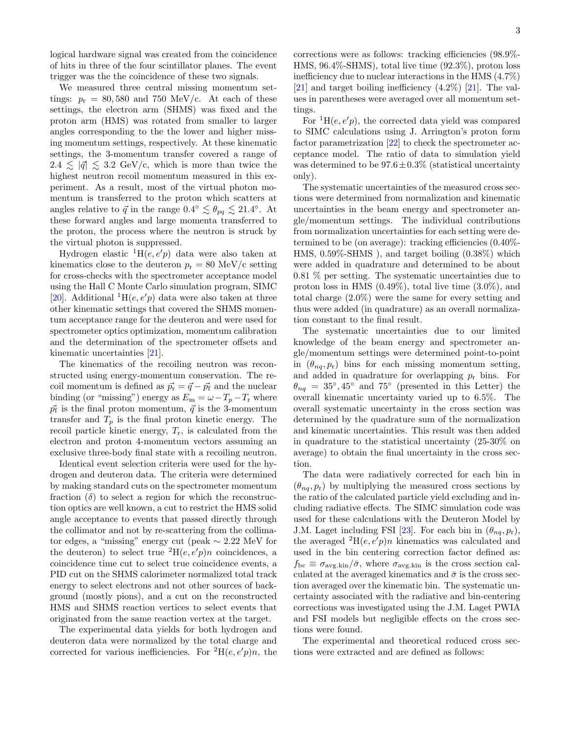logical hardware signal was created from the coincidence of hits in three of the four scintillator planes. The event trigger was the the coincidence of these two signals.

We measured three central missing momentum settings:  $p_r = 80,580$  and 750 MeV/c. At each of these settings, the electron arm (SHMS) was fixed and the proton arm (HMS) was rotated from smaller to larger angles corresponding to the the lower and higher missing momentum settings, respectively. At these kinematic settings, the 3-momentum transfer covered a range of  $2.4 \leq |\vec{q}| \leq 3.2$  GeV/c, which is more than twice the highest neutron recoil momentum measured in this experiment. As a result, most of the virtual photon momentum is transferred to the proton which scatters at angles relative to  $\vec{q}$  in the range  $0.4^{\circ} \lesssim \theta_{pq} \lesssim 21.4^{\circ}$ . At these forward angles and large momenta transferred to the proton, the process where the neutron is struck by the virtual photon is suppressed.

Hydrogen elastic  ${}^{1}H(e, e'p)$  data were also taken at kinematics close to the deuteron  $p_r = 80$  MeV/c setting for cross-checks with the spectrometer acceptance model using the Hall C Monte Carlo simulation program, SIMC [\[20\]](#page-5-13). Additional  ${}^{1}H(e, e'p)$  data were also taken at three other kinematic settings that covered the SHMS momentum acceptance range for the deuteron and were used for spectrometer optics optimization, momentum calibration and the determination of the spectrometer offsets and kinematic uncertainties [\[21\]](#page-5-14).

The kinematics of the recoiling neutron was reconstructed using energy-momentum conservation. The recoil momentum is defined as  $\vec{p}_r = \vec{q} - \vec{p}_f$  and the nuclear binding (or "missing") energy as  $E_m = \omega - T_p - T_r$  where  $\vec{p}_{\text{f}}$  is the final proton momentum,  $\vec{q}$  is the 3-momentum transfer and  $T_p$  is the final proton kinetic energy. The recoil particle kinetic energy,  $T_r$ , is calculated from the electron and proton 4-momentum vectors assuming an exclusive three-body final state with a recoiling neutron.

Identical event selection criteria were used for the hydrogen and deuteron data. The criteria were determined by making standard cuts on the spectrometer momentum fraction  $(\delta)$  to select a region for which the reconstruction optics are well known, a cut to restrict the HMS solid angle acceptance to events that passed directly through the collimator and not by re-scattering from the collimator edges, a "missing" energy cut (peak  $\sim 2.22$  MeV for the deuteron) to select true  ${}^{2}H(e, e'p)n$  coincidences, a coincidence time cut to select true coincidence events, a PID cut on the SHMS calorimeter normalized total track energy to select electrons and not other sources of background (mostly pions), and a cut on the reconstructed HMS and SHMS reaction vertices to select events that originated from the same reaction vertex at the target.

The experimental data yields for both hydrogen and deuteron data were normalized by the total charge and corrected for various inefficiencies. For <sup>2</sup>H(e, e'p)n, the corrections were as follows: tracking efficiencies (98.9%- HMS, 96.4%-SHMS), total live time (92.3%), proton loss inefficiency due to nuclear interactions in the HMS (4.7%) [\[21\]](#page-5-14) and target boiling inefficiency (4.2%) [\[21\]](#page-5-14). The values in parentheses were averaged over all momentum settings.

For  ${}^{1}H(e, e'p)$ , the corrected data yield was compared to SIMC calculations using J. Arrington's proton form factor parametrization [\[22\]](#page-5-15) to check the spectrometer acceptance model. The ratio of data to simulation yield was determined to be  $97.6 \pm 0.3\%$  (statistical uncertainty only).

The systematic uncertainties of the measured cross sections were determined from normalization and kinematic uncertainties in the beam energy and spectrometer angle/momentum settings. The individual contributions from normalization uncertainties for each setting were determined to be (on average): tracking efficiencies (0.40%- HMS, 0.59%-SHMS ), and target boiling (0.38%) which were added in quadrature and determined to be about 0.81 % per setting. The systematic uncertainties due to proton loss in HMS  $(0.49\%)$ , total live time  $(3.0\%)$ , and total charge (2.0%) were the same for every setting and thus were added (in quadrature) as an overall normalization constant to the final result.

The systematic uncertainties due to our limited knowledge of the beam energy and spectrometer angle/momentum settings were determined point-to-point in  $(\theta_{nq}, p_{r})$  bins for each missing momentum setting, and added in quadrature for overlapping  $p_r$  bins. For  $\theta_{nq} = 35^{\circ}, 45^{\circ}$  and  $75^{\circ}$  (presented in this Letter) the overall kinematic uncertainty varied up to 6.5%. The overall systematic uncertainty in the cross section was determined by the quadrature sum of the normalization and kinematic uncertainties. This result was then added in quadrature to the statistical uncertainty (25-30% on average) to obtain the final uncertainty in the cross section.

The data were radiatively corrected for each bin in  $(\theta_{na}, p_{r})$  by multiplying the measured cross sections by the ratio of the calculated particle yield excluding and including radiative effects. The SIMC simulation code was used for these calculations with the Deuteron Model by J.M. Laget including FSI [\[23\]](#page-5-16). For each bin in  $(\theta_{nq}, p_r)$ , the averaged  ${}^{2}H(e, e'p)n$  kinematics was calculated and used in the bin centering correction factor defined as:  $f_{\rm bc} \equiv \sigma_{\rm avg.kin}/\bar{\sigma}$ , where  $\sigma_{\rm avg.kin}$  is the cross section calculated at the averaged kinematics and  $\bar{\sigma}$  is the cross section averaged over the kinematic bin. The systematic uncertainty associated with the radiative and bin-centering corrections was investigated using the J.M. Laget PWIA and FSI models but negligible effects on the cross sections were found.

The experimental and theoretical reduced cross sections were extracted and are defined as follows: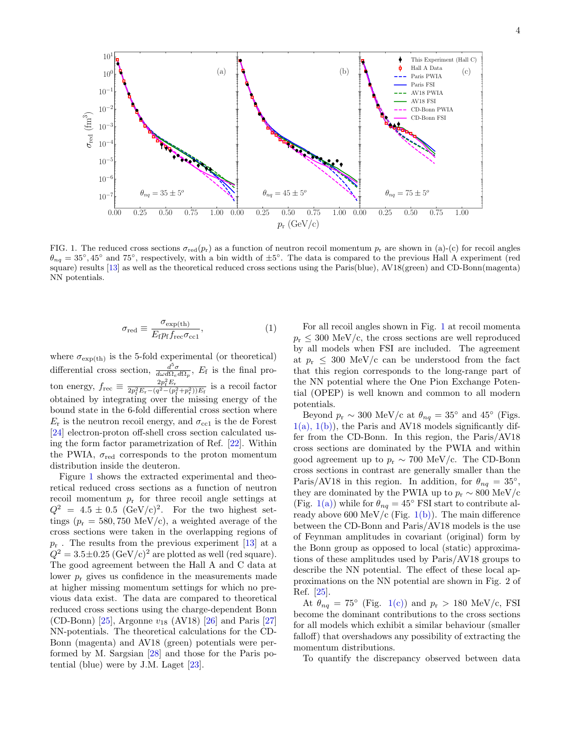

<span id="page-3-0"></span>FIG. 1. The reduced cross sections  $\sigma_{\rm red}(p_r)$  as a function of neutron recoil momentum  $p_r$  are shown in (a)-(c) for recoil angles  $\theta_{nq} = 35^{\circ}, 45^{\circ}$  and 75°, respectively, with a bin width of  $\pm 5^{\circ}$ . The data is compared to the previous Hall A experiment (red square) results [\[13\]](#page-5-6) as well as the theoretical reduced cross sections using the Paris(blue), AV18(green) and CD-Bonn(magenta) NN potentials.

$$
\sigma_{\text{red}} \equiv \frac{\sigma_{\text{exp(th)}}}{E_{\text{f}} p_{\text{f}} f_{\text{rec}} \sigma_{\text{ccl}}},\tag{1}
$$

where  $\sigma_{\exp(th)}$  is the 5-fold experimental (or theoretical) differential cross section,  $\frac{d^5\sigma}{d\omega d\Omega_e d\Omega_p}$ ,  $E_f$  is the final proton energy,  $f_{\text{rec}} \equiv \frac{2p_f^2 E_r}{2p_f^2 E_r - (q^2 - (p_f^2 + p_r^2))E_f}$  is a recoil factor obtained by integrating over the missing energy of the bound state in the 6-fold differential cross section where  $E_r$  is the neutron recoil energy, and  $\sigma_{\text{cc1}}$  is the de Forest [\[24\]](#page-5-17) electron-proton off-shell cross section calculated using the form factor parametrization of Ref. [\[22\]](#page-5-15). Within the PWIA,  $\sigma_{\text{red}}$  corresponds to the proton momentum distribution inside the deuteron.

Figure [1](#page-3-0) shows the extracted experimental and theoretical reduced cross sections as a function of neutron recoil momentum  $p_r$  for three recoil angle settings at  $Q^2 = 4.5 \pm 0.5 \text{ (GeV/c)}^2$ . For the two highest settings ( $p_r = 580, 750 \text{ MeV/c}$ ), a weighted average of the cross sections were taken in the overlapping regions of  $p_r$ . The results from the previous experiment [\[13\]](#page-5-6) at a  $Q^2 = 3.5 \pm 0.25 \; (\text{GeV/c})^2$  are plotted as well (red square). The good agreement between the Hall A and C data at lower  $p_r$  gives us confidence in the measurements made at higher missing momentum settings for which no previous data exist. The data are compared to theoretical reduced cross sections using the charge-dependent Bonn (CD-Bonn) [\[25\]](#page-5-18), Argonne  $v_{18}$  (AV18) [\[26\]](#page-5-19) and Paris [\[27\]](#page-5-20) NN-potentials. The theoretical calculations for the CD-Bonn (magenta) and AV18 (green) potentials were performed by M. Sargsian [\[28\]](#page-5-21) and those for the Paris potential (blue) were by J.M. Laget [\[23\]](#page-5-16).

For all recoil angles shown in Fig. [1](#page-3-0) at recoil momenta  $p_r \leq 300$  MeV/c, the cross sections are well reproduced by all models when FSI are included. The agreement at  $p_r \leq 300 \text{ MeV/c}$  can be understood from the fact that this region corresponds to the long-range part of the NN potential where the One Pion Exchange Potential (OPEP) is well known and common to all modern potentials.

Beyond  $p_r \sim 300 \text{ MeV/c}$  at  $\theta_{nq} = 35^{\circ}$  and  $45^{\circ}$  (Figs.  $1(a)$ ,  $1(b)$ , the Paris and AV18 models significantly differ from the CD-Bonn. In this region, the Paris/AV18 cross sections are dominated by the PWIA and within good agreement up to  $p_r \sim 700$  MeV/c. The CD-Bonn cross sections in contrast are generally smaller than the Paris/AV18 in this region. In addition, for  $\theta_{nq} = 35^{\circ}$ , they are dominated by the PWIA up to  $p_r \sim 800 \text{ MeV/c}$ (Fig. [1\(a\)\)](#page-3-0) while for  $\theta_{nq} = 45^{\circ}$  FSI start to contribute al-ready above 600 MeV/c (Fig. [1\(b\)\)](#page-3-0). The main difference between the CD-Bonn and Paris/AV18 models is the use of Feynman amplitudes in covariant (original) form by the Bonn group as opposed to local (static) approximations of these amplitudes used by Paris/AV18 groups to describe the NN potential. The effect of these local approximations on the NN potential are shown in Fig. 2 of Ref. [\[25\]](#page-5-18).

At  $\theta_{nq} = 75^{\circ}$  (Fig. [1\(c\)\)](#page-3-0) and  $p_{r} > 180$  MeV/c, FSI become the dominant contributions to the cross sections for all models which exhibit a similar behaviour (smaller falloff) that overshadows any possibility of extracting the momentum distributions.

To quantify the discrepancy observed between data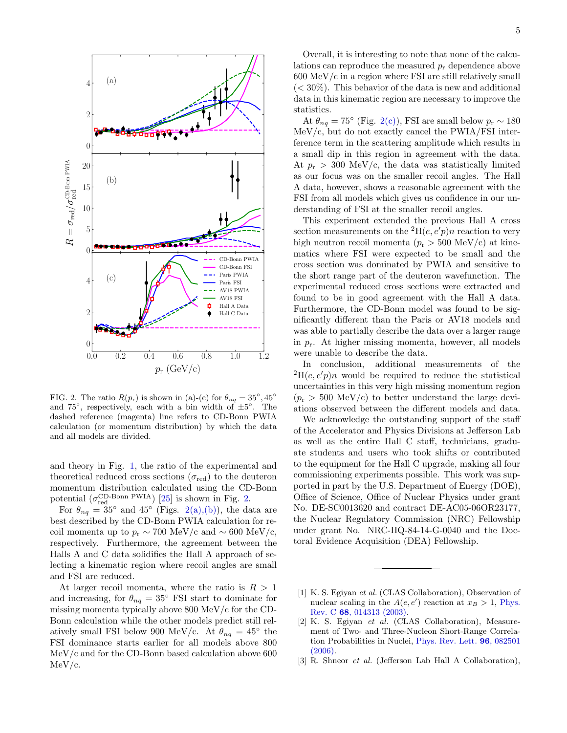

<span id="page-4-1"></span>FIG. 2. The ratio  $R(p_r)$  is shown in (a)-(c) for  $\theta_{nq} = 35^\circ, 45^\circ$ and  $75^\circ$ , respectively, each with a bin width of  $\pm 5^\circ$ . The dashed reference (magenta) line refers to CD-Bonn PWIA calculation (or momentum distribution) by which the data and all models are divided.

and theory in Fig. [1,](#page-3-0) the ratio of the experimental and theoretical reduced cross sections  $(\sigma_{\text{red}})$  to the deuteron momentum distribution calculated using the CD-Bonn potential  $(\sigma_{\text{red}}^{\text{CD-Bonn PWIA}})$  [\[25\]](#page-5-18) is shown in Fig. [2.](#page-4-1)

For  $\theta_{nq} = 35^{\circ}$  and  $45^{\circ}$  (Figs. [2\(a\),\(b\)\)](#page-4-1), the data are best described by the CD-Bonn PWIA calculation for recoil momenta up to  $p_r \sim 700 \text{ MeV/c}$  and ~ 600 MeV/c, respectively. Furthermore, the agreement between the Halls A and C data solidifies the Hall A approach of selecting a kinematic region where recoil angles are small and FSI are reduced.

At larger recoil momenta, where the ratio is  $R > 1$ and increasing, for  $\theta_{nq} = 35^{\circ}$  FSI start to dominate for missing momenta typically above 800 MeV/c for the CD-Bonn calculation while the other models predict still relatively small FSI below 900 MeV/c. At  $\theta_{nq} = 45^{\circ}$  the FSI dominance starts earlier for all models above 800 MeV/c and for the CD-Bonn based calculation above 600 MeV/c.

Overall, it is interesting to note that none of the calculations can reproduce the measured  $p_r$  dependence above 600 MeV/c in a region where FSI are still relatively small  $(< 30\%)$ . This behavior of the data is new and additional data in this kinematic region are necessary to improve the statistics.

At  $\theta_{nq} = 75^{\circ}$  (Fig. [2\(c\)\)](#page-4-1), FSI are small below  $p_r \sim 180$ MeV/c, but do not exactly cancel the PWIA/FSI interference term in the scattering amplitude which results in a small dip in this region in agreement with the data. At  $p_r > 300$  MeV/c, the data was statistically limited as our focus was on the smaller recoil angles. The Hall A data, however, shows a reasonable agreement with the FSI from all models which gives us confidence in our understanding of FSI at the smaller recoil angles.

This experiment extended the previous Hall A cross section measurements on the <sup>2</sup>H(e, e'p)n reaction to very high neutron recoil momenta  $(p_r > 500 \text{ MeV/c})$  at kinematics where FSI were expected to be small and the cross section was dominated by PWIA and sensitive to the short range part of the deuteron wavefunction. The experimental reduced cross sections were extracted and found to be in good agreement with the Hall A data. Furthermore, the CD-Bonn model was found to be significantly different than the Paris or AV18 models and was able to partially describe the data over a larger range in  $p_r$ . At higher missing momenta, however, all models were unable to describe the data.

In conclusion, additional measurements of the  ${}^{2}H(e, e'p)n$  would be required to reduce the statistical uncertainties in this very high missing momentum region  $(p_{\rm r} > 500 \text{ MeV/c})$  to better understand the large deviations observed between the different models and data.

We acknowledge the outstanding support of the staff of the Accelerator and Physics Divisions at Jefferson Lab as well as the entire Hall C staff, technicians, graduate students and users who took shifts or contributed to the equipment for the Hall C upgrade, making all four commissioning experiments possible. This work was supported in part by the U.S. Department of Energy (DOE), Office of Science, Office of Nuclear Physics under grant No. DE-SC0013620 and contract DE-AC05-06OR23177, the Nuclear Regulatory Commission (NRC) Fellowship under grant No. NRC-HQ-84-14-G-0040 and the Doctoral Evidence Acquisition (DEA) Fellowship.

- <span id="page-4-0"></span>[1] K. S. Egiyan et al. (CLAS Collaboration), Observation of nuclear scaling in the  $A(e, e')$  reaction at  $x_B > 1$ , [Phys.](https://doi.org/10.1103/PhysRevC.68.014313) Rev. C 68[, 014313 \(2003\).](https://doi.org/10.1103/PhysRevC.68.014313)
- [2] K. S. Egiyan et al. (CLAS Collaboration), Measurement of Two- and Three-Nucleon Short-Range Correlation Probabilities in Nuclei, [Phys. Rev. Lett.](https://doi.org/10.1103/PhysRevLett.96.082501) 96, 082501 [\(2006\).](https://doi.org/10.1103/PhysRevLett.96.082501)
- [3] R. Shneor *et al.* (Jefferson Lab Hall A Collaboration),